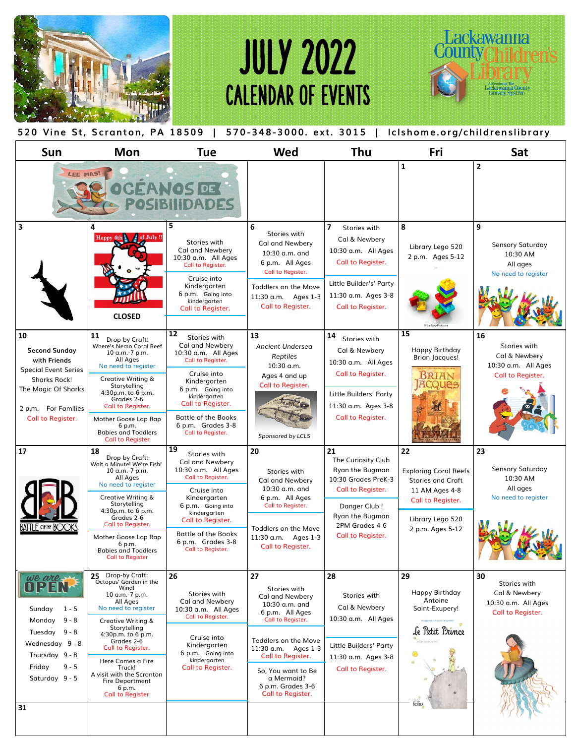

## JULY 2022 CALENDAR OF EVENTS



## **520 Vine St, Scranton, PA 18509 | 570 -348-3000. ext. 3015 | lclshome.org/childrenslibrary**

| <b>Sun</b>                                                                                                                                                          | <b>Mon</b>                                                                                                                                                                                                                                                                                                                          | <b>Tue</b>                                                                                                                                                                                                                                                | Wed                                                                                                                                                                                                                                               | Thu                                                                                                                                                                      | Fri                                                                                                                                           | Sat                                                                             |
|---------------------------------------------------------------------------------------------------------------------------------------------------------------------|-------------------------------------------------------------------------------------------------------------------------------------------------------------------------------------------------------------------------------------------------------------------------------------------------------------------------------------|-----------------------------------------------------------------------------------------------------------------------------------------------------------------------------------------------------------------------------------------------------------|---------------------------------------------------------------------------------------------------------------------------------------------------------------------------------------------------------------------------------------------------|--------------------------------------------------------------------------------------------------------------------------------------------------------------------------|-----------------------------------------------------------------------------------------------------------------------------------------------|---------------------------------------------------------------------------------|
| LEE MAS!                                                                                                                                                            |                                                                                                                                                                                                                                                                                                                                     | <b>GEANOS DE</b>                                                                                                                                                                                                                                          |                                                                                                                                                                                                                                                   |                                                                                                                                                                          | $\mathbf{1}$                                                                                                                                  | $\overline{2}$                                                                  |
| $\overline{\mathbf{3}}$                                                                                                                                             | 4<br>of July !!<br><b>Happy</b><br><b>CLOSED</b>                                                                                                                                                                                                                                                                                    | 5<br>Stories with<br><b>Cal and Newbery</b><br>10:30 a.m. All Ages<br>Call to Register.<br>Cruise into<br>Kindergarten<br>6 p.m. Going into<br>kindergarten<br>Call to Register.                                                                          | 6<br>Stories with<br><b>Cal and Newbery</b><br>$10:30$ a.m. and<br>6 p.m. All Ages<br>Call to Register.<br>Toddlers on the Move<br>11:30 a.m. Ages 1-3<br>Call to Register.                                                                       | $\overline{ }$<br>Stories with<br>Cal & Newbery<br>10:30 a.m. All Ages<br>Call to Register.<br>Little Builder's' Party<br>11:30 a.m. Ages 3-8<br>Call to Register.       | 8<br>Library Lego 520<br>2 p.m. Ages 5-12                                                                                                     | 9<br><b>Sensory Saturday</b><br>10:30 AM<br>All ages<br>No need to register     |
| 10<br><b>Second Sunday</b><br>with Friends<br><b>Special Event Series</b><br><b>Sharks Rock!</b><br>The Magic Of Sharks<br>2 p.m. For Families<br>Call to Register. | 11<br>Drop-by Craft:<br>Where's Nemo Coral Reef<br>10 a.m.-7 p.m.<br>All Ages<br>No need to register<br>Creative Writing &<br>Storytelling<br>4:30p.m. to 6 p.m.<br>Grades 2-6<br>Call to Register.<br>Mother Goose Lap Rap<br>6 p.m.<br><b>Babies and Toddlers</b><br><b>Call to Register</b>                                      | 12<br>Stories with<br>Cal and Newbery<br>10:30 a.m. All Ages<br>Call to Register.<br>Cruise into<br>Kindergarten<br>6 p.m. Going into<br>kindergarten<br><b>Call to Register.</b><br><b>Battle of the Books</b><br>6 p.m. Grades 3-8<br>Call to Register. | 13<br><b>Ancient Undersea</b><br>Reptiles<br>$10:30$ a.m.<br>Ages 4 and up<br>Call to Register.<br>Sponsored by LCLS                                                                                                                              | 14<br>Stories with<br>Cal & Newbery<br>10:30 a.m. All Ages<br>Call to Register.<br>Little Builders' Party<br>11:30 a.m. Ages 3-8<br>Call to Register.                    | 15<br>Happy Birthday<br><b>Brian Jacques!</b><br>BRIAN                                                                                        | 16<br>Stories with<br>Cal & Newbery<br>10:30 a.m. All Ages<br>Call to Register. |
| 17<br>$F$ of the $R$                                                                                                                                                | 18<br>Drop-by Craft:<br>Wait a Minute! We're Fish!<br>10 a.m.-7 p.m.<br>All Ages<br>No need to register<br>Creative Writing &<br>Storytelling<br>4:30p.m. to 6 p.m.<br>Grades 2-6<br>Call to Register.<br>Mother Goose Lap Rap<br>6 p.m.<br><b>Babies and Toddlers</b><br><b>Call to Register</b>                                   | 19<br>Stories with<br>Cal and Newbery<br>10:30 a.m. All Ages<br>Call to Register.<br>Cruise into<br>Kindergarten<br>6 p.m. Going into<br>kindergarten<br>Call to Register.<br><b>Battle of the Books</b><br>6 p.m. Grades 3-8<br>Call to Register.        | 20<br>Stories with<br>Cal and Newbery<br>10:30 a.m. and<br>6 p.m. All Ages<br>Call to Register.<br>Toddlers on the Move<br>11:30 a.m. Ages 1-3<br>Call to Register.                                                                               | 21<br>The Curiosity Club<br>Ryan the Bugman<br>10:30 Grades PreK-3<br>Call to Register.<br>Danger Club!<br><b>Ryan the Bugman</b><br>2PM Grades 4-6<br>Call to Register. | 22<br><b>Exploring Coral Reefs</b><br><b>Stories and Craft</b><br>11 AM Ages 4-8<br>Call to Register.<br>Library Lego 520<br>2 p.m. Ages 5-12 | 23<br><b>Sensory Saturday</b><br>10:30 AM<br>All ages<br>No need to register    |
| we are<br>$1 - 5$<br>Sunday<br>$9 - 8$<br>Monday<br>Tuesday 9 - 8<br>Wednesday 9 - 8<br>Thursday 9 - 8<br>Friday<br>$9 - 5$<br>Saturday 9 - 5<br>31                 | 25 Drop-by Craft:<br>Octopus' Garden in the<br>Wind!<br>10 a.m.-7 p.m.<br>All Ages<br>No need to register<br>Creative Writing &<br>Storytelling<br>4:30p.m. to 6 p.m.<br>Grades 2-6<br>Call to Register.<br>Here Comes a Fire<br>Truck!<br>A visit with the Scranton<br><b>Fire Department</b><br>6 p.m.<br><b>Call to Register</b> | 26<br>Stories with<br>Cal and Newbery<br>10:30 a.m. All Ages<br>Call to Register.<br>Cruise into<br>Kindergarten<br>6 p.m. Going into<br>kindergarten<br>Call to Register.                                                                                | 27<br>Stories with<br>Cal and Newbery<br>10:30 a.m. and<br>6 p.m. All Ages<br>Call to Register.<br>Toddlers on the Move<br>11:30 a.m. Ages 1-3<br>Call to Register.<br>So, You want to Be<br>a Mermaid?<br>6 p.m. Grades 3-6<br>Call to Register. | 28<br>Stories with<br>Cal & Newbery<br>10:30 a.m. All Ages<br>Little Builders' Party<br>11:30 a.m. Ages 3-8<br>Call to Register.                                         | 29<br>Happy Birthday<br>Antoine<br>Saint-Exupery!<br>ANTOINE DE SAINT-EXUPÉ<br>Je Petit Prince<br>folio                                       | 30<br>Stories with<br>Cal & Newbery<br>10:30 a.m. All Ages<br>Call to Register. |